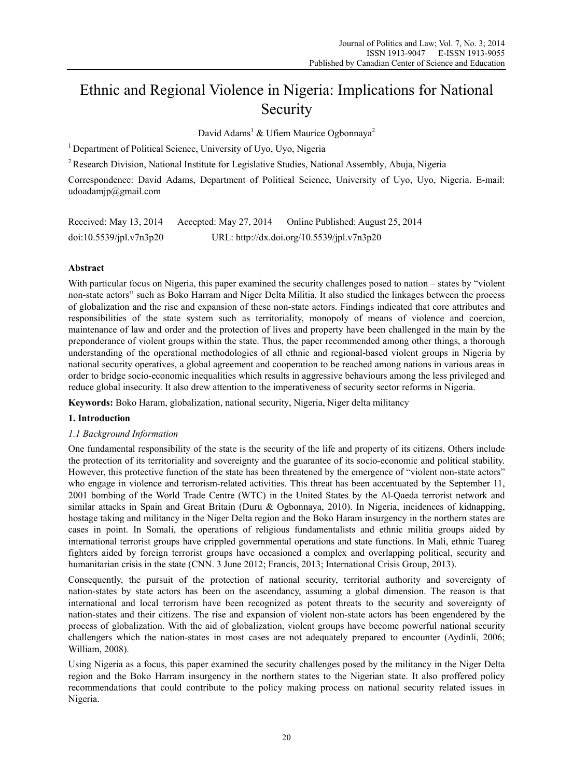# Ethnic and Regional Violence in Nigeria: Implications for National Security

David Adams<sup>1</sup> & Ufiem Maurice Ogbonnaya<sup>2</sup>

<sup>1</sup> Department of Political Science, University of Uyo, Uyo, Nigeria

<sup>2</sup> Research Division, National Institute for Legislative Studies, National Assembly, Abuja, Nigeria

Correspondence: David Adams, Department of Political Science, University of Uyo, Uyo, Nigeria. E-mail: udoadamjp@gmail.com

| Received: May 13, 2014  | Accepted: May $27, 2014$ | Online Published: August 25, 2014          |
|-------------------------|--------------------------|--------------------------------------------|
| doi:10.5539/jpl.v7n3p20 |                          | URL: http://dx.doi.org/10.5539/jpl.v7n3p20 |

# **Abstract**

With particular focus on Nigeria, this paper examined the security challenges posed to nation – states by "violent" non-state actors" such as Boko Harram and Niger Delta Militia. It also studied the linkages between the process of globalization and the rise and expansion of these non-state actors. Findings indicated that core attributes and responsibilities of the state system such as territoriality, monopoly of means of violence and coercion, maintenance of law and order and the protection of lives and property have been challenged in the main by the preponderance of violent groups within the state. Thus, the paper recommended among other things, a thorough understanding of the operational methodologies of all ethnic and regional-based violent groups in Nigeria by national security operatives, a global agreement and cooperation to be reached among nations in various areas in order to bridge socio-economic inequalities which results in aggressive behaviours among the less privileged and reduce global insecurity. It also drew attention to the imperativeness of security sector reforms in Nigeria.

**Keywords:** Boko Haram, globalization, national security, Nigeria, Niger delta militancy

# **1. Introduction**

## *1.1 Background Information*

One fundamental responsibility of the state is the security of the life and property of its citizens. Others include the protection of its territoriality and sovereignty and the guarantee of its socio-economic and political stability. However, this protective function of the state has been threatened by the emergence of "violent non-state actors" who engage in violence and terrorism-related activities. This threat has been accentuated by the September 11, 2001 bombing of the World Trade Centre (WTC) in the United States by the Al-Qaeda terrorist network and similar attacks in Spain and Great Britain (Duru & Ogbonnaya, 2010). In Nigeria, incidences of kidnapping, hostage taking and militancy in the Niger Delta region and the Boko Haram insurgency in the northern states are cases in point. In Somali, the operations of religious fundamentalists and ethnic militia groups aided by international terrorist groups have crippled governmental operations and state functions. In Mali, ethnic Tuareg fighters aided by foreign terrorist groups have occasioned a complex and overlapping political, security and humanitarian crisis in the state (CNN, 3 June 2012; Francis, 2013; International Crisis Group, 2013).

Consequently, the pursuit of the protection of national security, territorial authority and sovereignty of nation-states by state actors has been on the ascendancy, assuming a global dimension. The reason is that international and local terrorism have been recognized as potent threats to the security and sovereignty of nation-states and their citizens. The rise and expansion of violent non-state actors has been engendered by the process of globalization. With the aid of globalization, violent groups have become powerful national security challengers which the nation-states in most cases are not adequately prepared to encounter (Aydinli, 2006; William, 2008).

Using Nigeria as a focus, this paper examined the security challenges posed by the militancy in the Niger Delta region and the Boko Harram insurgency in the northern states to the Nigerian state. It also proffered policy recommendations that could contribute to the policy making process on national security related issues in Nigeria.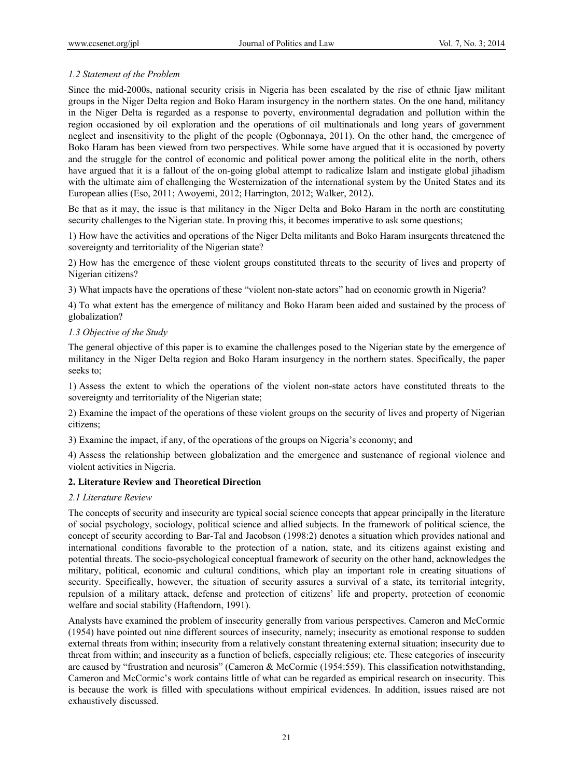# *1.2 Statement of the Problem*

Since the mid-2000s, national security crisis in Nigeria has been escalated by the rise of ethnic Ijaw militant groups in the Niger Delta region and Boko Haram insurgency in the northern states. On the one hand, militancy in the Niger Delta is regarded as a response to poverty, environmental degradation and pollution within the region occasioned by oil exploration and the operations of oil multinationals and long years of government neglect and insensitivity to the plight of the people (Ogbonnaya, 2011). On the other hand, the emergence of Boko Haram has been viewed from two perspectives. While some have argued that it is occasioned by poverty and the struggle for the control of economic and political power among the political elite in the north, others have argued that it is a fallout of the on-going global attempt to radicalize Islam and instigate global jihadism with the ultimate aim of challenging the Westernization of the international system by the United States and its European allies (Eso, 2011; Awoyemi, 2012; Harrington, 2012; Walker, 2012).

Be that as it may, the issue is that militancy in the Niger Delta and Boko Haram in the north are constituting security challenges to the Nigerian state. In proving this, it becomes imperative to ask some questions;

1) How have the activities and operations of the Niger Delta militants and Boko Haram insurgents threatened the sovereignty and territoriality of the Nigerian state?

2) How has the emergence of these violent groups constituted threats to the security of lives and property of Nigerian citizens?

3) What impacts have the operations of these "violent non-state actors" had on economic growth in Nigeria?

4) To what extent has the emergence of militancy and Boko Haram been aided and sustained by the process of globalization?

# *1.3 Objective of the Study*

The general objective of this paper is to examine the challenges posed to the Nigerian state by the emergence of militancy in the Niger Delta region and Boko Haram insurgency in the northern states. Specifically, the paper seeks to;

1) Assess the extent to which the operations of the violent non-state actors have constituted threats to the sovereignty and territoriality of the Nigerian state;

2) Examine the impact of the operations of these violent groups on the security of lives and property of Nigerian citizens;

3) Examine the impact, if any, of the operations of the groups on Nigeria's economy; and

4) Assess the relationship between globalization and the emergence and sustenance of regional violence and violent activities in Nigeria.

# **2. Literature Review and Theoretical Direction**

## *2.1 Literature Review*

The concepts of security and insecurity are typical social science concepts that appear principally in the literature of social psychology, sociology, political science and allied subjects. In the framework of political science, the concept of security according to Bar-Tal and Jacobson (1998:2) denotes a situation which provides national and international conditions favorable to the protection of a nation, state, and its citizens against existing and potential threats. The socio-psychological conceptual framework of security on the other hand, acknowledges the military, political, economic and cultural conditions, which play an important role in creating situations of security. Specifically, however, the situation of security assures a survival of a state, its territorial integrity, repulsion of a military attack, defense and protection of citizens' life and property, protection of economic welfare and social stability (Haftendorn, 1991).

Analysts have examined the problem of insecurity generally from various perspectives. Cameron and McCormic (1954) have pointed out nine different sources of insecurity, namely; insecurity as emotional response to sudden external threats from within; insecurity from a relatively constant threatening external situation; insecurity due to threat from within; and insecurity as a function of beliefs, especially religious; etc. These categories of insecurity are caused by "frustration and neurosis" (Cameron & McCormic (1954:559). This classification notwithstanding, Cameron and McCormic's work contains little of what can be regarded as empirical research on insecurity. This is because the work is filled with speculations without empirical evidences. In addition, issues raised are not exhaustively discussed.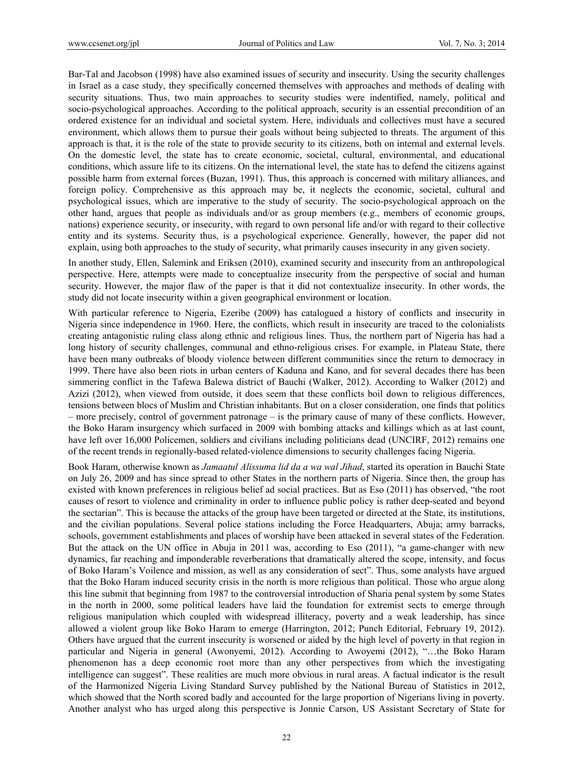Bar-Tal and Jacobson (1998) have also examined issues of security and insecurity. Using the security challenges in Israel as a case study, they specifically concerned themselves with approaches and methods of dealing with security situations. Thus, two main approaches to security studies were indentified, namely, political and socio-psychological approaches. According to the political approach, security is an essential precondition of an ordered existence for an individual and societal system. Here, individuals and collectives must have a secured environment, which allows them to pursue their goals without being subjected to threats. The argument of this approach is that, it is the role of the state to provide security to its citizens, both on internal and external levels. On the domestic level, the state has to create economic, societal, cultural, environmental, and educational conditions, which assure life to its citizens. On the international level, the state has to defend the citizens against possible harm from external forces (Buzan, 1991). Thus, this approach is concerned with military alliances, and foreign policy. Comprehensive as this approach may be, it neglects the economic, societal, cultural and psychological issues, which are imperative to the study of security. The socio-psychological approach on the other hand, argues that people as individuals and/or as group members (e.g., members of economic groups, nations) experience security, or insecurity, with regard to own personal life and/or with regard to their collective entity and its systems. Security thus, is a psychological experience. Generally, however, the paper did not explain, using both approaches to the study of security, what primarily causes insecurity in any given society.

In another study, Ellen, Salemink and Eriksen (2010), examined security and insecurity from an anthropological perspective. Here, attempts were made to conceptualize insecurity from the perspective of social and human security. However, the major flaw of the paper is that it did not contextualize insecurity. In other words, the study did not locate insecurity within a given geographical environment or location.

With particular reference to Nigeria, Ezeribe (2009) has catalogued a history of conflicts and insecurity in Nigeria since independence in 1960. Here, the conflicts, which result in insecurity are traced to the colonialists creating antagonistic ruling class along ethnic and religious lines. Thus, the northern part of Nigeria has had a long history of security challenges, communal and ethno-religious crises. For example, in Plateau State, there have been many outbreaks of bloody violence between different communities since the return to democracy in 1999. There have also been riots in urban centers of Kaduna and Kano, and for several decades there has been simmering conflict in the Tafewa Balewa district of Bauchi (Walker, 2012). According to Walker (2012) and Azizi (2012), when viewed from outside, it does seem that these conflicts boil down to religious differences, tensions between blocs of Muslim and Christian inhabitants. But on a closer consideration, one finds that politics – more precisely, control of government patronage – is the primary cause of many of these conflicts. However, the Boko Haram insurgency which surfaced in 2009 with bombing attacks and killings which as at last count, have left over 16,000 Policemen, soldiers and civilians including politicians dead (UNCIRF, 2012) remains one of the recent trends in regionally-based related-violence dimensions to security challenges facing Nigeria.

Book Haram, otherwise known as *Jamaatul Alissuma lid da a wa wal Jihad*, started its operation in Bauchi State on July 26, 2009 and has since spread to other States in the northern parts of Nigeria. Since then, the group has existed with known preferences in religious belief ad social practices. But as Eso (2011) has observed, "the root causes of resort to violence and criminality in order to influence public policy is rather deep-seated and beyond the sectarian". This is because the attacks of the group have been targeted or directed at the State, its institutions, and the civilian populations. Several police stations including the Force Headquarters, Abuja; army barracks, schools, government establishments and places of worship have been attacked in several states of the Federation. But the attack on the UN office in Abuja in 2011 was, according to Eso (2011), "a game-changer with new dynamics, far reaching and imponderable reverberations that dramatically altered the scope, intensity, and focus of Boko Haram's Voilence and mission, as well as any consideration of sect". Thus, some analysts have argued that the Boko Haram induced security crisis in the north is more religious than political. Those who argue along this line submit that beginning from 1987 to the controversial introduction of Sharia penal system by some States in the north in 2000, some political leaders have laid the foundation for extremist sects to emerge through religious manipulation which coupled with widespread illiteracy, poverty and a weak leadership, has since allowed a violent group like Boko Haram to emerge (Harrington, 2012; Punch Editorial, February 19, 2012). Others have argued that the current insecurity is worsened or aided by the high level of poverty in that region in particular and Nigeria in general (Awonyemi, 2012). According to Awoyemi (2012), "…the Boko Haram phenomenon has a deep economic root more than any other perspectives from which the investigating intelligence can suggest". These realities are much more obvious in rural areas. A factual indicator is the result of the Harmonized Nigeria Living Standard Survey published by the National Bureau of Statistics in 2012, which showed that the North scored badly and accounted for the large proportion of Nigerians living in poverty. Another analyst who has urged along this perspective is Jonnie Carson, US Assistant Secretary of State for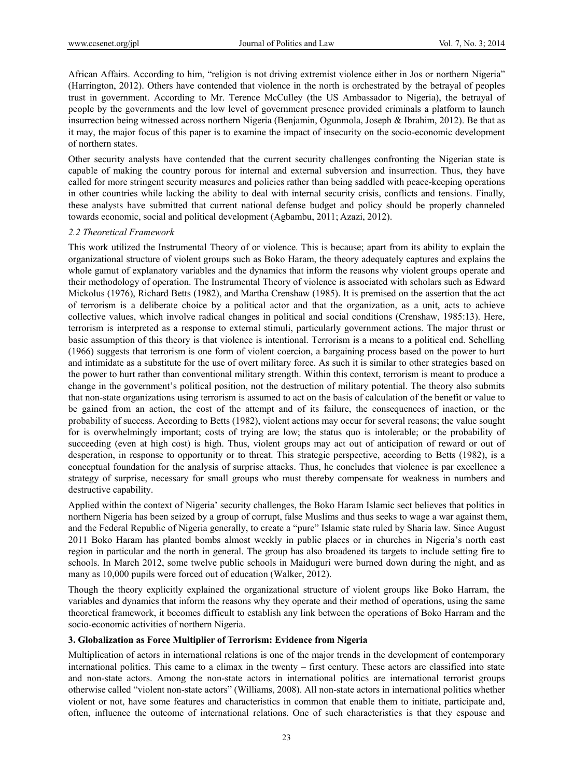African Affairs. According to him, "religion is not driving extremist violence either in Jos or northern Nigeria" (Harrington, 2012). Others have contended that violence in the north is orchestrated by the betrayal of peoples trust in government. According to Mr. Terence McCulley (the US Ambassador to Nigeria), the betrayal of people by the governments and the low level of government presence provided criminals a platform to launch insurrection being witnessed across northern Nigeria (Benjamin, Ogunmola, Joseph & Ibrahim, 2012). Be that as it may, the major focus of this paper is to examine the impact of insecurity on the socio-economic development of northern states.

Other security analysts have contended that the current security challenges confronting the Nigerian state is capable of making the country porous for internal and external subversion and insurrection. Thus, they have called for more stringent security measures and policies rather than being saddled with peace-keeping operations in other countries while lacking the ability to deal with internal security crisis, conflicts and tensions. Finally, these analysts have submitted that current national defense budget and policy should be properly channeled towards economic, social and political development (Agbambu, 2011; Azazi, 2012).

#### *2.2 Theoretical Framework*

This work utilized the Instrumental Theory of or violence. This is because; apart from its ability to explain the organizational structure of violent groups such as Boko Haram, the theory adequately captures and explains the whole gamut of explanatory variables and the dynamics that inform the reasons why violent groups operate and their methodology of operation. The Instrumental Theory of violence is associated with scholars such as Edward Mickolus (1976), Richard Betts (1982), and Martha Crenshaw (1985). It is premised on the assertion that the act of terrorism is a deliberate choice by a political actor and that the organization, as a unit, acts to achieve collective values, which involve radical changes in political and social conditions (Crenshaw, 1985:13). Here, terrorism is interpreted as a response to external stimuli, particularly government actions. The major thrust or basic assumption of this theory is that violence is intentional. Terrorism is a means to a political end. Schelling (1966) suggests that terrorism is one form of violent coercion, a bargaining process based on the power to hurt and intimidate as a substitute for the use of overt military force. As such it is similar to other strategies based on the power to hurt rather than conventional military strength. Within this context, terrorism is meant to produce a change in the government's political position, not the destruction of military potential. The theory also submits that non-state organizations using terrorism is assumed to act on the basis of calculation of the benefit or value to be gained from an action, the cost of the attempt and of its failure, the consequences of inaction, or the probability of success. According to Betts (1982), violent actions may occur for several reasons; the value sought for is overwhelmingly important; costs of trying are low; the status quo is intolerable; or the probability of succeeding (even at high cost) is high. Thus, violent groups may act out of anticipation of reward or out of desperation, in response to opportunity or to threat. This strategic perspective, according to Betts (1982), is a conceptual foundation for the analysis of surprise attacks. Thus, he concludes that violence is par excellence a strategy of surprise, necessary for small groups who must thereby compensate for weakness in numbers and destructive capability.

Applied within the context of Nigeria' security challenges, the Boko Haram Islamic sect believes that politics in northern Nigeria has been seized by a group of corrupt, false Muslims and thus seeks to wage a war against them, and the Federal Republic of Nigeria generally, to create a "pure" Islamic state ruled by Sharia law. Since August 2011 Boko Haram has planted bombs almost weekly in public places or in churches in Nigeria's north east region in particular and the north in general. The group has also broadened its targets to include setting fire to schools. In March 2012, some twelve public schools in Maiduguri were burned down during the night, and as many as 10,000 pupils were forced out of education (Walker, 2012).

Though the theory explicitly explained the organizational structure of violent groups like Boko Harram, the variables and dynamics that inform the reasons why they operate and their method of operations, using the same theoretical framework, it becomes difficult to establish any link between the operations of Boko Harram and the socio-economic activities of northern Nigeria.

## **3. Globalization as Force Multiplier of Terrorism: Evidence from Nigeria**

Multiplication of actors in international relations is one of the major trends in the development of contemporary international politics. This came to a climax in the twenty – first century. These actors are classified into state and non-state actors. Among the non-state actors in international politics are international terrorist groups otherwise called "violent non-state actors" (Williams, 2008). All non-state actors in international politics whether violent or not, have some features and characteristics in common that enable them to initiate, participate and, often, influence the outcome of international relations. One of such characteristics is that they espouse and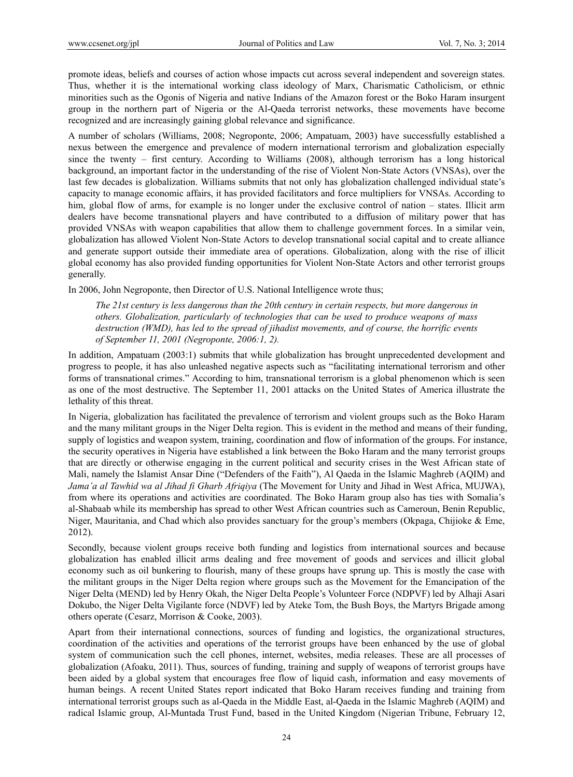promote ideas, beliefs and courses of action whose impacts cut across several independent and sovereign states. Thus, whether it is the international working class ideology of Marx, Charismatic Catholicism, or ethnic minorities such as the Ogonis of Nigeria and native Indians of the Amazon forest or the Boko Haram insurgent group in the northern part of Nigeria or the Al-Qaeda terrorist networks, these movements have become recognized and are increasingly gaining global relevance and significance.

A number of scholars (Williams, 2008; Negroponte, 2006; Ampatuam, 2003) have successfully established a nexus between the emergence and prevalence of modern international terrorism and globalization especially since the twenty – first century. According to Williams (2008), although terrorism has a long historical background, an important factor in the understanding of the rise of Violent Non-State Actors (VNSAs), over the last few decades is globalization. Williams submits that not only has globalization challenged individual state's capacity to manage economic affairs, it has provided facilitators and force multipliers for VNSAs. According to him, global flow of arms, for example is no longer under the exclusive control of nation – states. Illicit arm dealers have become transnational players and have contributed to a diffusion of military power that has provided VNSAs with weapon capabilities that allow them to challenge government forces. In a similar vein, globalization has allowed Violent Non-State Actors to develop transnational social capital and to create alliance and generate support outside their immediate area of operations. Globalization, along with the rise of illicit global economy has also provided funding opportunities for Violent Non-State Actors and other terrorist groups generally.

In 2006, John Negroponte, then Director of U.S. National Intelligence wrote thus;

*The 21st century is less dangerous than the 20th century in certain respects, but more dangerous in others. Globalization, particularly of technologies that can be used to produce weapons of mass destruction (WMD), has led to the spread of jihadist movements, and of course, the horrific events of September 11, 2001 (Negroponte, 2006:1, 2).* 

In addition, Ampatuam (2003:1) submits that while globalization has brought unprecedented development and progress to people, it has also unleashed negative aspects such as "facilitating international terrorism and other forms of transnational crimes." According to him, transnational terrorism is a global phenomenon which is seen as one of the most destructive. The September 11, 2001 attacks on the United States of America illustrate the lethality of this threat.

In Nigeria, globalization has facilitated the prevalence of terrorism and violent groups such as the Boko Haram and the many militant groups in the Niger Delta region. This is evident in the method and means of their funding, supply of logistics and weapon system, training, coordination and flow of information of the groups. For instance, the security operatives in Nigeria have established a link between the Boko Haram and the many terrorist groups that are directly or otherwise engaging in the current political and security crises in the West African state of Mali, namely the Islamist Ansar Dine ("Defenders of the Faith"), Al Qaeda in the Islamic Maghreb (AQIM) and *Jama'a al Tawhid wa al Jihad fi Gharb Afriqiya* (The Movement for Unity and Jihad in West Africa, MUJWA), from where its operations and activities are coordinated. The Boko Haram group also has ties with Somalia's al-Shabaab while its membership has spread to other West African countries such as Cameroun, Benin Republic, Niger, Mauritania, and Chad which also provides sanctuary for the group's members (Okpaga, Chijioke & Eme, 2012).

Secondly, because violent groups receive both funding and logistics from international sources and because globalization has enabled illicit arms dealing and free movement of goods and services and illicit global economy such as oil bunkering to flourish, many of these groups have sprung up. This is mostly the case with the militant groups in the Niger Delta region where groups such as the Movement for the Emancipation of the Niger Delta (MEND) led by Henry Okah, the Niger Delta People's Volunteer Force (NDPVF) led by Alhaji Asari Dokubo, the Niger Delta Vigilante force (NDVF) led by Ateke Tom, the Bush Boys, the Martyrs Brigade among others operate (Cesarz, Morrison & Cooke, 2003).

Apart from their international connections, sources of funding and logistics, the organizational structures, coordination of the activities and operations of the terrorist groups have been enhanced by the use of global system of communication such the cell phones, internet, websites, media releases. These are all processes of globalization (Afoaku, 2011). Thus, sources of funding, training and supply of weapons of terrorist groups have been aided by a global system that encourages free flow of liquid cash, information and easy movements of human beings. A recent United States report indicated that Boko Haram receives funding and training from international terrorist groups such as al-Qaeda in the Middle East, al-Qaeda in the Islamic Maghreb (AQIM) and radical Islamic group, Al-Muntada Trust Fund, based in the United Kingdom (Nigerian Tribune, February 12,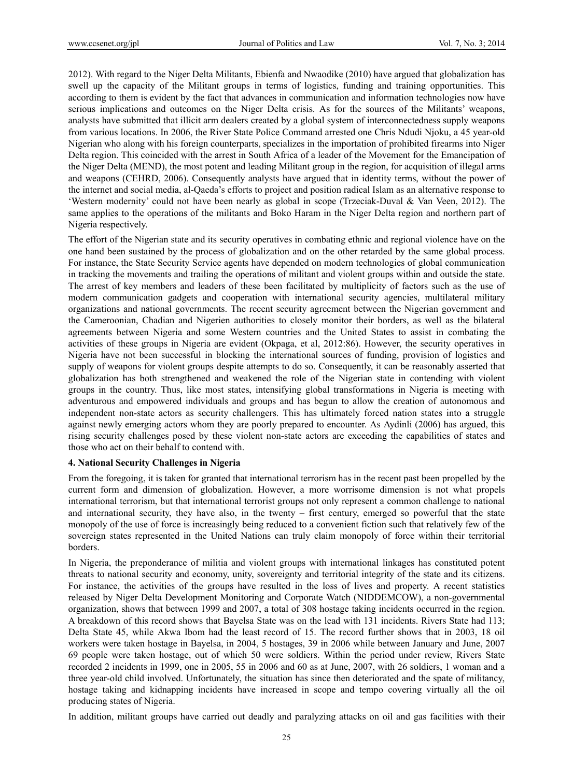2012). With regard to the Niger Delta Militants, Ebienfa and Nwaodike (2010) have argued that globalization has swell up the capacity of the Militant groups in terms of logistics, funding and training opportunities. This according to them is evident by the fact that advances in communication and information technologies now have serious implications and outcomes on the Niger Delta crisis. As for the sources of the Militants' weapons, analysts have submitted that illicit arm dealers created by a global system of interconnectedness supply weapons from various locations. In 2006, the River State Police Command arrested one Chris Ndudi Njoku, a 45 year-old Nigerian who along with his foreign counterparts, specializes in the importation of prohibited firearms into Niger Delta region. This coincided with the arrest in South Africa of a leader of the Movement for the Emancipation of the Niger Delta (MEND), the most potent and leading Militant group in the region, for acquisition of illegal arms and weapons (CEHRD, 2006). Consequently analysts have argued that in identity terms, without the power of the internet and social media, al-Qaeda's efforts to project and position radical Islam as an alternative response to 'Western modernity' could not have been nearly as global in scope (Trzeciak-Duval & Van Veen, 2012). The same applies to the operations of the militants and Boko Haram in the Niger Delta region and northern part of Nigeria respectively.

The effort of the Nigerian state and its security operatives in combating ethnic and regional violence have on the one hand been sustained by the process of globalization and on the other retarded by the same global process. For instance, the State Security Service agents have depended on modern technologies of global communication in tracking the movements and trailing the operations of militant and violent groups within and outside the state. The arrest of key members and leaders of these been facilitated by multiplicity of factors such as the use of modern communication gadgets and cooperation with international security agencies, multilateral military organizations and national governments. The recent security agreement between the Nigerian government and the Cameroonian, Chadian and Nigerien authorities to closely monitor their borders, as well as the bilateral agreements between Nigeria and some Western countries and the United States to assist in combating the activities of these groups in Nigeria are evident (Okpaga, et al, 2012:86). However, the security operatives in Nigeria have not been successful in blocking the international sources of funding, provision of logistics and supply of weapons for violent groups despite attempts to do so. Consequently, it can be reasonably asserted that globalization has both strengthened and weakened the role of the Nigerian state in contending with violent groups in the country. Thus, like most states, intensifying global transformations in Nigeria is meeting with adventurous and empowered individuals and groups and has begun to allow the creation of autonomous and independent non-state actors as security challengers. This has ultimately forced nation states into a struggle against newly emerging actors whom they are poorly prepared to encounter. As Aydinli (2006) has argued, this rising security challenges posed by these violent non-state actors are exceeding the capabilities of states and those who act on their behalf to contend with.

#### **4. National Security Challenges in Nigeria**

From the foregoing, it is taken for granted that international terrorism has in the recent past been propelled by the current form and dimension of globalization. However, a more worrisome dimension is not what propels international terrorism, but that international terrorist groups not only represent a common challenge to national and international security, they have also, in the twenty – first century, emerged so powerful that the state monopoly of the use of force is increasingly being reduced to a convenient fiction such that relatively few of the sovereign states represented in the United Nations can truly claim monopoly of force within their territorial borders.

In Nigeria, the preponderance of militia and violent groups with international linkages has constituted potent threats to national security and economy, unity, sovereignty and territorial integrity of the state and its citizens. For instance, the activities of the groups have resulted in the loss of lives and property. A recent statistics released by Niger Delta Development Monitoring and Corporate Watch (NIDDEMCOW), a non-governmental organization, shows that between 1999 and 2007, a total of 308 hostage taking incidents occurred in the region. A breakdown of this record shows that Bayelsa State was on the lead with 131 incidents. Rivers State had 113; Delta State 45, while Akwa Ibom had the least record of 15. The record further shows that in 2003, 18 oil workers were taken hostage in Bayelsa, in 2004, 5 hostages, 39 in 2006 while between January and June, 2007 69 people were taken hostage, out of which 50 were soldiers. Within the period under review, Rivers State recorded 2 incidents in 1999, one in 2005, 55 in 2006 and 60 as at June, 2007, with 26 soldiers, 1 woman and a three year-old child involved. Unfortunately, the situation has since then deteriorated and the spate of militancy, hostage taking and kidnapping incidents have increased in scope and tempo covering virtually all the oil producing states of Nigeria.

In addition, militant groups have carried out deadly and paralyzing attacks on oil and gas facilities with their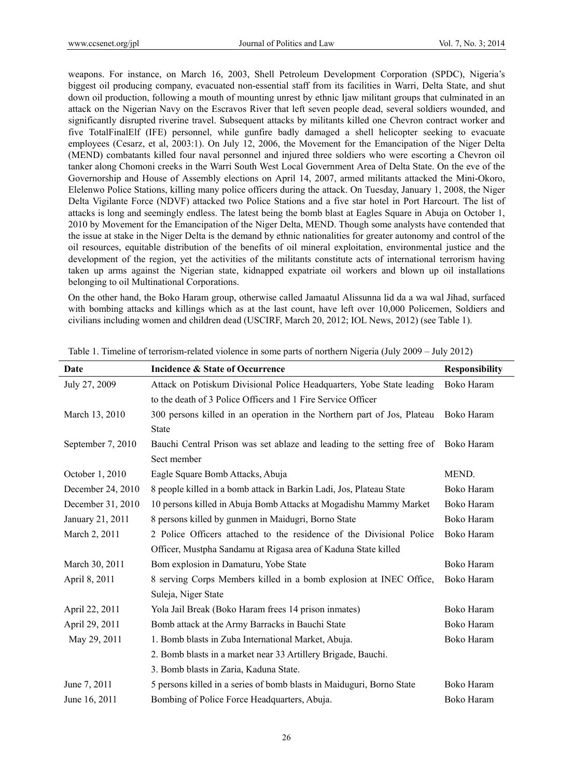weapons. For instance, on March 16, 2003, Shell Petroleum Development Corporation (SPDC), Nigeria's biggest oil producing company, evacuated non-essential staff from its facilities in Warri, Delta State, and shut down oil production, following a mouth of mounting unrest by ethnic Ijaw militant groups that culminated in an attack on the Nigerian Navy on the Escravos River that left seven people dead, several soldiers wounded, and significantly disrupted riverine travel. Subsequent attacks by militants killed one Chevron contract worker and five TotalFinalElf (IFE) personnel, while gunfire badly damaged a shell helicopter seeking to evacuate employees (Cesarz, et al, 2003:1). On July 12, 2006, the Movement for the Emancipation of the Niger Delta (MEND) combatants killed four naval personnel and injured three soldiers who were escorting a Chevron oil tanker along Chomoni creeks in the Warri South West Local Government Area of Delta State. On the eve of the Governorship and House of Assembly elections on April 14, 2007, armed militants attacked the Mini-Okoro, Elelenwo Police Stations, killing many police officers during the attack. On Tuesday, January 1, 2008, the Niger Delta Vigilante Force (NDVF) attacked two Police Stations and a five star hotel in Port Harcourt. The list of attacks is long and seemingly endless. The latest being the bomb blast at Eagles Square in Abuja on October 1, 2010 by Movement for the Emancipation of the Niger Delta, MEND. Though some analysts have contended that the issue at stake in the Niger Delta is the demand by ethnic nationalities for greater autonomy and control of the oil resources, equitable distribution of the benefits of oil mineral exploitation, environmental justice and the development of the region, yet the activities of the militants constitute acts of international terrorism having taken up arms against the Nigerian state, kidnapped expatriate oil workers and blown up oil installations belonging to oil Multinational Corporations.

On the other hand, the Boko Haram group, otherwise called Jamaatul Alissunna lid da a wa wal Jihad, surfaced with bombing attacks and killings which as at the last count, have left over 10,000 Policemen, Soldiers and civilians including women and children dead (USCIRF, March 20, 2012; IOL News, 2012) (see Table 1).

| Date              | Incidence & State of Occurrence                                         | <b>Responsibility</b> |
|-------------------|-------------------------------------------------------------------------|-----------------------|
| July 27, 2009     | Attack on Potiskum Divisional Police Headquarters, Yobe State leading   | Boko Haram            |
|                   | to the death of 3 Police Officers and 1 Fire Service Officer            |                       |
| March 13, 2010    | 300 persons killed in an operation in the Northern part of Jos, Plateau | Boko Haram            |
|                   | <b>State</b>                                                            |                       |
| September 7, 2010 | Bauchi Central Prison was set ablaze and leading to the setting free of | Boko Haram            |
|                   | Sect member                                                             |                       |
| October 1, 2010   | Eagle Square Bomb Attacks, Abuja                                        | MEND.                 |
| December 24, 2010 | 8 people killed in a bomb attack in Barkin Ladi, Jos, Plateau State     | Boko Haram            |
| December 31, 2010 | 10 persons killed in Abuja Bomb Attacks at Mogadishu Mammy Market       | Boko Haram            |
| January 21, 2011  | 8 persons killed by gunmen in Maidugri, Borno State                     | Boko Haram            |
| March 2, 2011     | 2 Police Officers attached to the residence of the Divisional Police    | Boko Haram            |
|                   | Officer, Mustpha Sandamu at Rigasa area of Kaduna State killed          |                       |
| March 30, 2011    | Bom explosion in Damaturu, Yobe State                                   | Boko Haram            |
| April 8, 2011     | 8 serving Corps Members killed in a bomb explosion at INEC Office,      | Boko Haram            |
|                   | Suleja, Niger State                                                     |                       |
| April 22, 2011    | Yola Jail Break (Boko Haram frees 14 prison inmates)                    | Boko Haram            |
| April 29, 2011    | Bomb attack at the Army Barracks in Bauchi State                        | Boko Haram            |
| May 29, 2011      | 1. Bomb blasts in Zuba International Market, Abuja.                     | Boko Haram            |
|                   | 2. Bomb blasts in a market near 33 Artillery Brigade, Bauchi.           |                       |
|                   | 3. Bomb blasts in Zaria, Kaduna State.                                  |                       |
| June 7, 2011      | 5 persons killed in a series of bomb blasts in Maiduguri, Borno State   | Boko Haram            |
| June 16, 2011     | Bombing of Police Force Headquarters, Abuja.                            | Boko Haram            |

Table 1. Timeline of terrorism-related violence in some parts of northern Nigeria (July 2009 – July 2012)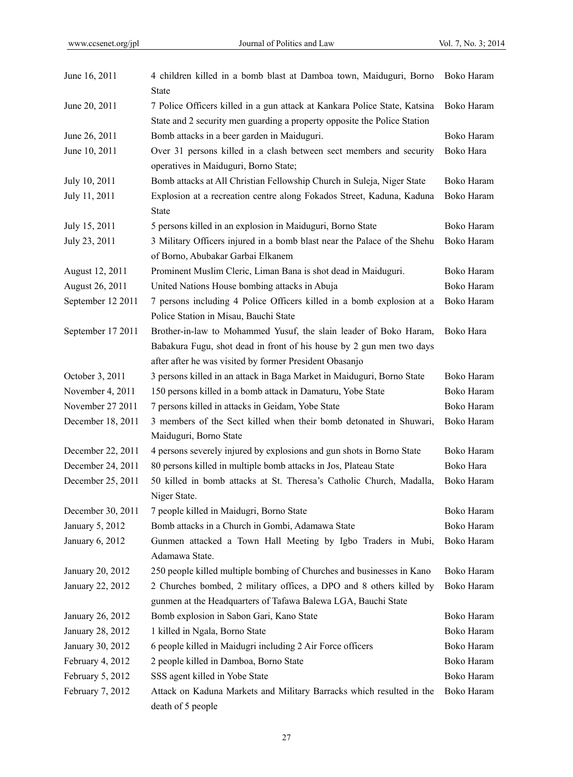| June 16, 2011     | 4 children killed in a bomb blast at Damboa town, Maiduguri, Borno<br><b>State</b>                             | Boko Haram |
|-------------------|----------------------------------------------------------------------------------------------------------------|------------|
| June 20, 2011     | 7 Police Officers killed in a gun attack at Kankara Police State, Katsina                                      | Boko Haram |
|                   | State and 2 security men guarding a property opposite the Police Station                                       |            |
| June 26, 2011     | Bomb attacks in a beer garden in Maiduguri.                                                                    | Boko Haram |
| June 10, 2011     | Over 31 persons killed in a clash between sect members and security<br>operatives in Maiduguri, Borno State;   | Boko Hara  |
| July 10, 2011     | Bomb attacks at All Christian Fellowship Church in Suleja, Niger State                                         | Boko Haram |
| July 11, 2011     | Explosion at a recreation centre along Fokados Street, Kaduna, Kaduna<br><b>State</b>                          | Boko Haram |
| July 15, 2011     | 5 persons killed in an explosion in Maiduguri, Borno State                                                     | Boko Haram |
| July 23, 2011     | 3 Military Officers injured in a bomb blast near the Palace of the Shehu                                       | Boko Haram |
|                   | of Borno, Abubakar Garbai Elkanem                                                                              |            |
| August 12, 2011   | Prominent Muslim Cleric, Liman Bana is shot dead in Maiduguri.                                                 | Boko Haram |
| August 26, 2011   | United Nations House bombing attacks in Abuja                                                                  | Boko Haram |
| September 12 2011 | 7 persons including 4 Police Officers killed in a bomb explosion at a<br>Police Station in Misau, Bauchi State | Boko Haram |
| September 17 2011 | Brother-in-law to Mohammed Yusuf, the slain leader of Boko Haram,                                              | Boko Hara  |
|                   | Babakura Fugu, shot dead in front of his house by 2 gun men two days                                           |            |
|                   | after after he was visited by former President Obasanjo                                                        |            |
| October 3, 2011   | 3 persons killed in an attack in Baga Market in Maiduguri, Borno State                                         | Boko Haram |
| November 4, 2011  | 150 persons killed in a bomb attack in Damaturu, Yobe State                                                    | Boko Haram |
| November 27 2011  | 7 persons killed in attacks in Geidam, Yobe State                                                              | Boko Haram |
| December 18, 2011 | 3 members of the Sect killed when their bomb detonated in Shuwari,<br>Maiduguri, Borno State                   | Boko Haram |
| December 22, 2011 | 4 persons severely injured by explosions and gun shots in Borno State                                          | Boko Haram |
| December 24, 2011 | 80 persons killed in multiple bomb attacks in Jos, Plateau State                                               | Boko Hara  |
| December 25, 2011 | 50 killed in bomb attacks at St. Theresa's Catholic Church, Madalla,<br>Niger State.                           | Boko Haram |
| December 30, 2011 | 7 people killed in Maidugri, Borno State                                                                       | Boko Haram |
| January 5, 2012   | Bomb attacks in a Church in Gombi, Adamawa State                                                               | Boko Haram |
| January 6, 2012   | Gunmen attacked a Town Hall Meeting by Igbo Traders in Mubi,                                                   | Boko Haram |
|                   | Adamawa State.                                                                                                 |            |
| January 20, 2012  | 250 people killed multiple bombing of Churches and businesses in Kano                                          | Boko Haram |
| January 22, 2012  | 2 Churches bombed, 2 military offices, a DPO and 8 others killed by                                            | Boko Haram |
|                   | gunmen at the Headquarters of Tafawa Balewa LGA, Bauchi State                                                  |            |
| January 26, 2012  | Bomb explosion in Sabon Gari, Kano State                                                                       | Boko Haram |
| January 28, 2012  | 1 killed in Ngala, Borno State                                                                                 | Boko Haram |
| January 30, 2012  | 6 people killed in Maidugri including 2 Air Force officers                                                     | Boko Haram |
| February 4, 2012  | 2 people killed in Damboa, Borno State                                                                         | Boko Haram |
| February 5, 2012  | SSS agent killed in Yobe State                                                                                 | Boko Haram |
| February 7, 2012  | Attack on Kaduna Markets and Military Barracks which resulted in the<br>death of 5 people                      | Boko Haram |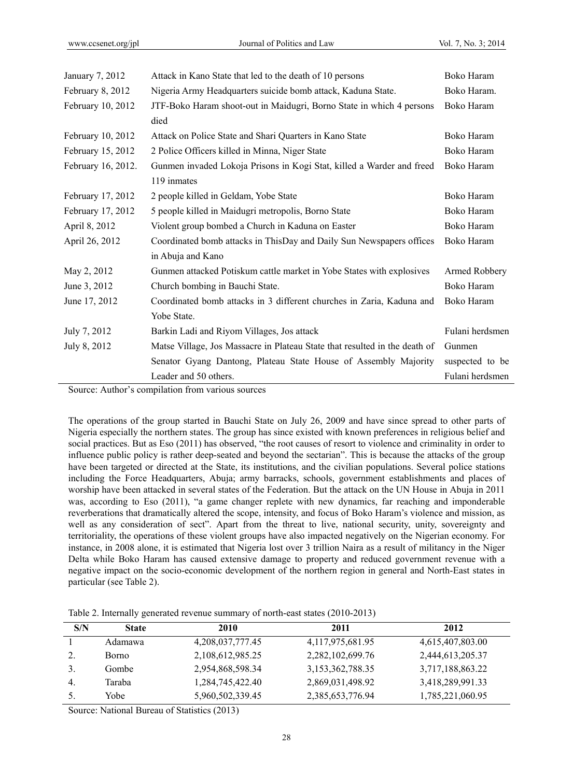| January 7, 2012    | Attack in Kano State that led to the death of 10 persons                   | Boko Haram      |
|--------------------|----------------------------------------------------------------------------|-----------------|
| February 8, 2012   | Nigeria Army Headquarters suicide bomb attack, Kaduna State.               | Boko Haram.     |
| February 10, 2012  | JTF-Boko Haram shoot-out in Maidugri, Borno State in which 4 persons       | Boko Haram      |
|                    | died                                                                       |                 |
| February 10, 2012  | Attack on Police State and Shari Quarters in Kano State                    | Boko Haram      |
| February 15, 2012  | 2 Police Officers killed in Minna, Niger State                             | Boko Haram      |
| February 16, 2012. | Gunmen invaded Lokoja Prisons in Kogi Stat, killed a Warder and freed      | Boko Haram      |
|                    | 119 inmates                                                                |                 |
| February 17, 2012  | 2 people killed in Geldam, Yobe State                                      | Boko Haram      |
| February 17, 2012  | 5 people killed in Maidugri metropolis, Borno State                        | Boko Haram      |
| April 8, 2012      | Violent group bombed a Church in Kaduna on Easter                          | Boko Haram      |
| April 26, 2012     | Coordinated bomb attacks in ThisDay and Daily Sun Newspapers offices       | Boko Haram      |
|                    | in Abuja and Kano                                                          |                 |
| May 2, 2012        | Gunmen attacked Potiskum cattle market in Yobe States with explosives      | Armed Robbery   |
| June 3, 2012       | Church bombing in Bauchi State.                                            | Boko Haram      |
| June 17, 2012      | Coordinated bomb attacks in 3 different churches in Zaria, Kaduna and      | Boko Haram      |
|                    | Yobe State.                                                                |                 |
| July 7, 2012       | Barkin Ladi and Riyom Villages, Jos attack                                 | Fulani herdsmen |
| July 8, 2012       | Matse Village, Jos Massacre in Plateau State that resulted in the death of | Gunmen          |
|                    | Senator Gyang Dantong, Plateau State House of Assembly Majority            | suspected to be |
|                    | Leader and 50 others.                                                      | Fulani herdsmen |

Source: Author's compilation from various sources

The operations of the group started in Bauchi State on July 26, 2009 and have since spread to other parts of Nigeria especially the northern states. The group has since existed with known preferences in religious belief and social practices. But as Eso (2011) has observed, "the root causes of resort to violence and criminality in order to influence public policy is rather deep-seated and beyond the sectarian". This is because the attacks of the group have been targeted or directed at the State, its institutions, and the civilian populations. Several police stations including the Force Headquarters, Abuja; army barracks, schools, government establishments and places of worship have been attacked in several states of the Federation. But the attack on the UN House in Abuja in 2011 was, according to Eso (2011), "a game changer replete with new dynamics, far reaching and imponderable reverberations that dramatically altered the scope, intensity, and focus of Boko Haram's violence and mission, as well as any consideration of sect". Apart from the threat to live, national security, unity, sovereignty and territoriality, the operations of these violent groups have also impacted negatively on the Nigerian economy. For instance, in 2008 alone, it is estimated that Nigeria lost over 3 trillion Naira as a result of militancy in the Niger Delta while Boko Haram has caused extensive damage to property and reduced government revenue with a negative impact on the socio-economic development of the northern region in general and North-East states in particular (see Table 2).

| Table 2. Internally generated revenue summary of north-east states (2010-2013) |  |  |  |
|--------------------------------------------------------------------------------|--|--|--|
|--------------------------------------------------------------------------------|--|--|--|

| S/N | <b>State</b> | 2010             | 2011             | 2012             |
|-----|--------------|------------------|------------------|------------------|
|     | Adamawa      | 4,208,037,777.45 | 4,117,975,681.95 | 4,615,407,803.00 |
|     | <b>Borno</b> | 2,108,612,985.25 | 2,282,102,699.76 | 2,444,613,205.37 |
|     | Gombe        | 2,954,868,598.34 | 3,153,362,788.35 | 3,717,188,863.22 |
| 4.  | Taraba       | 1,284,745,422.40 | 2,869,031,498.92 | 3,418,289,991.33 |
|     | Yobe         | 5,960,502,339.45 | 2,385,653,776.94 | 1,785,221,060.95 |
|     |              |                  |                  |                  |

Source: National Bureau of Statistics (2013)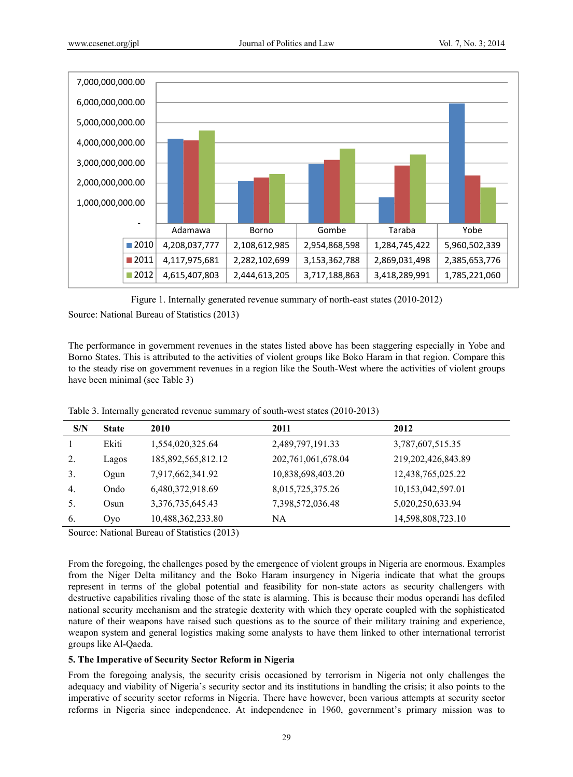

Figure 1. Internally generated revenue summary of north-east states (2010-2012)

Source: National Bureau of Statistics (2013)

The performance in government revenues in the states listed above has been staggering especially in Yobe and Borno States. This is attributed to the activities of violent groups like Boko Haram in that region. Compare this to the steady rise on government revenues in a region like the South-West where the activities of violent groups have been minimal (see Table 3)

Table 3. Internally generated revenue summary of south-west states (2010-2013)

| S/N | <b>State</b> | 2010               | 2011                  | 2012                  |
|-----|--------------|--------------------|-----------------------|-----------------------|
|     | Ekiti        | 1,554,020,325.64   | 2,489,797,191.33      | 3,787,607,515.35      |
| 2.  | Lagos        | 185,892,565,812.12 | 202, 761, 061, 678.04 | 219, 202, 426, 843.89 |
| 3.  | Ogun         | 7,917,662,341.92   | 10,838,698,403.20     | 12,438,765,025.22     |
| 4.  | Ondo         | 6,480,372,918.69   | 8,015,725,375.26      | 10,153,042,597.01     |
| 5.  | Osun         | 3,376,735,645.43   | 7,398,572,036.48      | 5,020,250,633.94      |
| 6.  | Oyo          | 10,488,362,233.80  | NА                    | 14,598,808,723.10     |
|     |              |                    |                       |                       |

Source: National Bureau of Statistics (2013)

From the foregoing, the challenges posed by the emergence of violent groups in Nigeria are enormous. Examples from the Niger Delta militancy and the Boko Haram insurgency in Nigeria indicate that what the groups represent in terms of the global potential and feasibility for non-state actors as security challengers with destructive capabilities rivaling those of the state is alarming. This is because their modus operandi has defiled national security mechanism and the strategic dexterity with which they operate coupled with the sophisticated nature of their weapons have raised such questions as to the source of their military training and experience, weapon system and general logistics making some analysts to have them linked to other international terrorist groups like Al-Qaeda.

## **5. The Imperative of Security Sector Reform in Nigeria**

From the foregoing analysis, the security crisis occasioned by terrorism in Nigeria not only challenges the adequacy and viability of Nigeria's security sector and its institutions in handling the crisis; it also points to the imperative of security sector reforms in Nigeria. There have however, been various attempts at security sector reforms in Nigeria since independence. At independence in 1960, government's primary mission was to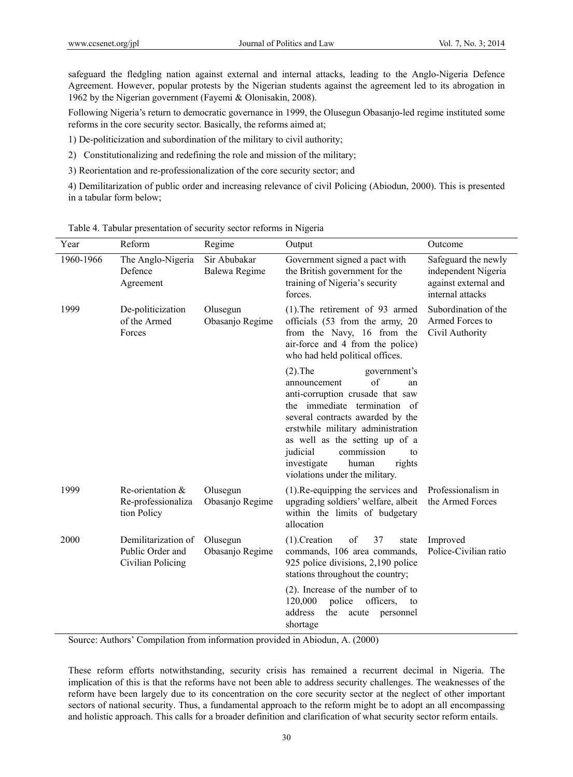safeguard the fledgling nation against external and internal attacks, leading to the Anglo-Nigeria Defence Agreement. However, popular protests by the Nigerian students against the agreement led to its abrogation in 1962 by the Nigerian government (Fayemi & Olonisakin, 2008).

Following Nigeria's return to democratic governance in 1999, the Olusegun Obasanjo-led regime instituted some reforms in the core security sector. Basically, the reforms aimed at;

1) De-politicization and subordination of the military to civil authority;

- 2) Constitutionalizing and redefining the role and mission of the military;
- 3) Reorientation and re-professionalization of the core security sector; and

4) Demilitarization of public order and increasing relevance of civil Policing (Abiodun, 2000). This is presented in a tabular form below;

| Year      | Reform                                                       | Regime                        | Output                                                                                                                                                                                                                                                                                                                                    | Outcome                                                                                |
|-----------|--------------------------------------------------------------|-------------------------------|-------------------------------------------------------------------------------------------------------------------------------------------------------------------------------------------------------------------------------------------------------------------------------------------------------------------------------------------|----------------------------------------------------------------------------------------|
| 1960-1966 | The Anglo-Nigeria<br>Defence<br>Agreement                    | Sir Abubakar<br>Balewa Regime | Government signed a pact with<br>the British government for the<br>training of Nigeria's security<br>forces.                                                                                                                                                                                                                              | Safeguard the newly<br>independent Nigeria<br>against external and<br>internal attacks |
| 1999      | De-politicization<br>of the Armed<br>Forces                  | Olusegun<br>Obasanjo Regime   | $(1)$ . The retirement of 93 armed<br>officials (53 from the army, 20<br>from the Navy, 16 from the<br>air-force and 4 from the police)<br>who had held political offices.                                                                                                                                                                | Subordination of the<br>Armed Forces to<br>Civil Authority                             |
|           |                                                              |                               | $(2).$ The<br>government's<br>of<br>announcement<br>an<br>anti-corruption crusade that saw<br>the immediate termination of<br>several contracts awarded by the<br>erstwhile military administration<br>as well as the setting up of a<br>judicial<br>commission<br>to<br>investigate<br>human<br>rights<br>violations under the military. |                                                                                        |
| 1999      | Re-orientation &<br>Re-professionaliza<br>tion Policy        | Olusegun<br>Obasanjo Regime   | $(1)$ . Re-equipping the services and<br>upgrading soldiers' welfare, albeit<br>within the limits of budgetary<br>allocation                                                                                                                                                                                                              | Professionalism in<br>the Armed Forces                                                 |
| 2000      | Demilitarization of<br>Public Order and<br>Civilian Policing | Olusegun<br>Obasanjo Regime   | of<br>37<br>$(1)$ . Creation<br>state<br>commands, 106 area commands,<br>925 police divisions, 2,190 police<br>stations throughout the country;                                                                                                                                                                                           | Improved<br>Police-Civilian ratio                                                      |
|           |                                                              |                               | $(2)$ . Increase of the number of to<br>police<br>officers,<br>120,000<br>to<br>address<br>the<br>personnel<br>acute<br>shortage                                                                                                                                                                                                          |                                                                                        |

Table 4. Tabular presentation of security sector reforms in Nigeria

Source: Authors' Compilation from information provided in Abiodun, A. (2000)

These reform efforts notwithstanding, security crisis has remained a recurrent decimal in Nigeria. The implication of this is that the reforms have not been able to address security challenges. The weaknesses of the reform have been largely due to its concentration on the core security sector at the neglect of other important sectors of national security. Thus, a fundamental approach to the reform might be to adopt an all encompassing and holistic approach. This calls for a broader definition and clarification of what security sector reform entails.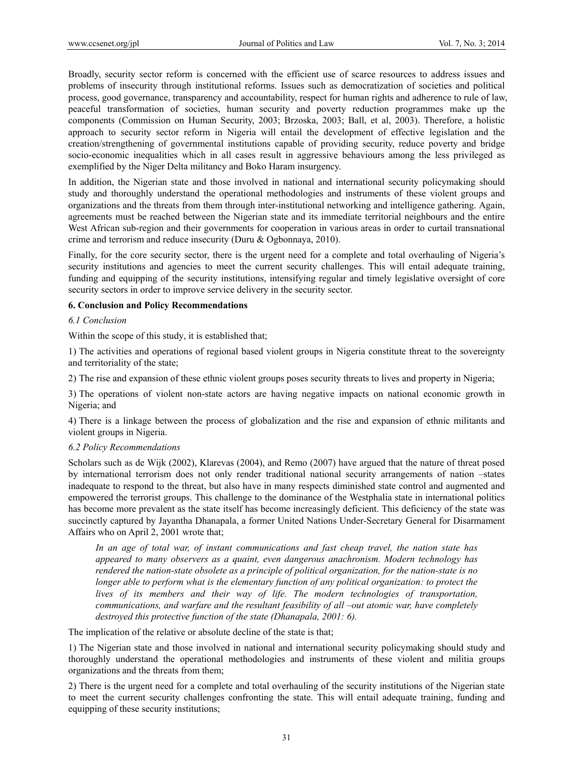Broadly, security sector reform is concerned with the efficient use of scarce resources to address issues and problems of insecurity through institutional reforms. Issues such as democratization of societies and political process, good governance, transparency and accountability, respect for human rights and adherence to rule of law, peaceful transformation of societies, human security and poverty reduction programmes make up the components (Commission on Human Security, 2003; Brzoska, 2003; Ball, et al, 2003). Therefore, a holistic approach to security sector reform in Nigeria will entail the development of effective legislation and the creation/strengthening of governmental institutions capable of providing security, reduce poverty and bridge socio-economic inequalities which in all cases result in aggressive behaviours among the less privileged as exemplified by the Niger Delta militancy and Boko Haram insurgency.

In addition, the Nigerian state and those involved in national and international security policymaking should study and thoroughly understand the operational methodologies and instruments of these violent groups and organizations and the threats from them through inter-institutional networking and intelligence gathering. Again, agreements must be reached between the Nigerian state and its immediate territorial neighbours and the entire West African sub-region and their governments for cooperation in various areas in order to curtail transnational crime and terrorism and reduce insecurity (Duru & Ogbonnaya, 2010).

Finally, for the core security sector, there is the urgent need for a complete and total overhauling of Nigeria's security institutions and agencies to meet the current security challenges. This will entail adequate training, funding and equipping of the security institutions, intensifying regular and timely legislative oversight of core security sectors in order to improve service delivery in the security sector.

## **6. Conclusion and Policy Recommendations**

#### *6.1 Conclusion*

Within the scope of this study, it is established that;

1) The activities and operations of regional based violent groups in Nigeria constitute threat to the sovereignty and territoriality of the state;

2) The rise and expansion of these ethnic violent groups poses security threats to lives and property in Nigeria;

3) The operations of violent non-state actors are having negative impacts on national economic growth in Nigeria; and

4) There is a linkage between the process of globalization and the rise and expansion of ethnic militants and violent groups in Nigeria.

#### *6.2 Policy Recommendations*

Scholars such as de Wijk (2002), Klarevas (2004), and Remo (2007) have argued that the nature of threat posed by international terrorism does not only render traditional national security arrangements of nation –states inadequate to respond to the threat, but also have in many respects diminished state control and augmented and empowered the terrorist groups. This challenge to the dominance of the Westphalia state in international politics has become more prevalent as the state itself has become increasingly deficient. This deficiency of the state was succinctly captured by Jayantha Dhanapala, a former United Nations Under-Secretary General for Disarmament Affairs who on April 2, 2001 wrote that;

*In an age of total war, of instant communications and fast cheap travel, the nation state has appeared to many observers as a quaint, even dangerous anachronism. Modern technology has rendered the nation-state obsolete as a principle of political organization, for the nation-state is no longer able to perform what is the elementary function of any political organization: to protect the lives of its members and their way of life. The modern technologies of transportation, communications, and warfare and the resultant feasibility of all –out atomic war, have completely destroyed this protective function of the state (Dhanapala, 2001: 6).* 

The implication of the relative or absolute decline of the state is that;

1) The Nigerian state and those involved in national and international security policymaking should study and thoroughly understand the operational methodologies and instruments of these violent and militia groups organizations and the threats from them;

2) There is the urgent need for a complete and total overhauling of the security institutions of the Nigerian state to meet the current security challenges confronting the state. This will entail adequate training, funding and equipping of these security institutions;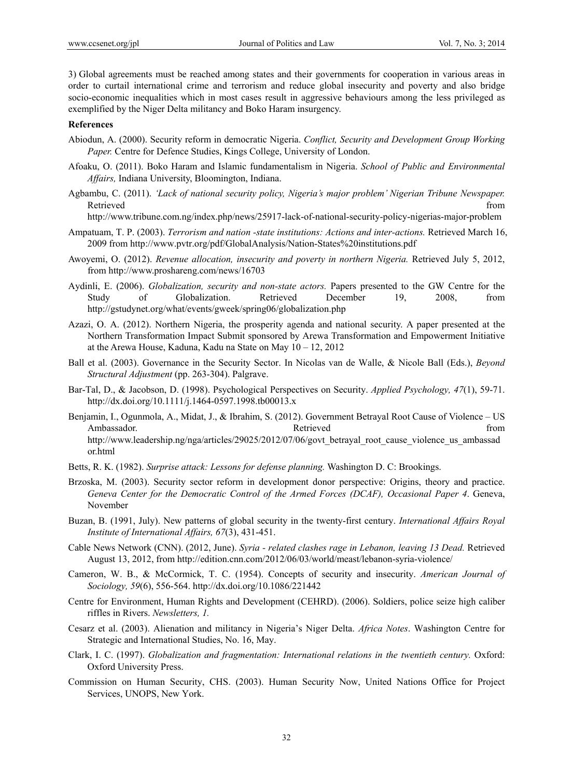3) Global agreements must be reached among states and their governments for cooperation in various areas in order to curtail international crime and terrorism and reduce global insecurity and poverty and also bridge socio-economic inequalities which in most cases result in aggressive behaviours among the less privileged as exemplified by the Niger Delta militancy and Boko Haram insurgency.

#### **References**

- Abiodun, A. (2000). Security reform in democratic Nigeria. *Conflict, Security and Development Group Working Paper.* Centre for Defence Studies, Kings College, University of London.
- Afoaku, O. (2011). Boko Haram and Islamic fundamentalism in Nigeria. *School of Public and Environmental Affairs,* Indiana University, Bloomington, Indiana.
- Agbambu, C. (2011). *'Lack of national security policy, Nigeria's major problem' Nigerian Tribune Newspaper.* Retrieved that the contract of the contract of the contract of the contract of the contract of the contract of the contract of the contract of the contract of the contract of the contract of the contract of the contract of

http://www.tribune.com.ng/index.php/news/25917-lack-of-national-security-policy-nigerias-major-problem

- Ampatuam, T. P. (2003). *Terrorism and nation -state institutions: Actions and inter-actions.* Retrieved March 16, 2009 from http://www.pvtr.org/pdf/GlobalAnalysis/Nation-States%20institutions.pdf
- Awoyemi, O. (2012). *Revenue allocation, insecurity and poverty in northern Nigeria.* Retrieved July 5, 2012, from http://www.proshareng.com/news/16703
- Aydinli, E. (2006). *Globalization, security and non-state actors.* Papers presented to the GW Centre for the Study of Globalization. Retrieved December 19, 2008, from http://gstudynet.org/what/events/gweek/spring06/globalization.php
- Azazi, O. A. (2012). Northern Nigeria, the prosperity agenda and national security. A paper presented at the Northern Transformation Impact Submit sponsored by Arewa Transformation and Empowerment Initiative at the Arewa House, Kaduna, Kadu na State on May 10 – 12, 2012
- Ball et al. (2003). Governance in the Security Sector. In Nicolas van de Walle, & Nicole Ball (Eds.), *Beyond Structural Adjustment* (pp. 263-304). Palgrave.
- Bar-Tal, D., & Jacobson, D. (1998). Psychological Perspectives on Security. *Applied Psychology, 47*(1), 59-71. http://dx.doi.org/10.1111/j.1464-0597.1998.tb00013.x
- Benjamin, I., Ogunmola, A., Midat, J., & Ibrahim, S. (2012). Government Betrayal Root Cause of Violence US Ambassador. Retrieved from http://www.leadership.ng/nga/articles/29025/2012/07/06/govt\_betrayal\_root\_cause\_violence\_us\_ambassad or.html
- Betts, R. K. (1982). *Surprise attack: Lessons for defense planning.* Washington D. C: Brookings.
- Brzoska, M. (2003). Security sector reform in development donor perspective: Origins, theory and practice. *Geneva Center for the Democratic Control of the Armed Forces (DCAF), Occasional Paper 4*. Geneva, November
- Buzan, B. (1991, July). New patterns of global security in the twenty-first century. *International Affairs Royal Institute of International Affairs, 67*(3), 431-451.
- Cable News Network (CNN). (2012, June). *Syria related clashes rage in Lebanon, leaving 13 Dead.* Retrieved August 13, 2012, from http://edition.cnn.com/2012/06/03/world/meast/lebanon-syria-violence/
- Cameron, W. B., & McCormick, T. C. (1954). Concepts of security and insecurity. *American Journal of Sociology, 59*(6), 556-564. http://dx.doi.org/10.1086/221442
- Centre for Environment, Human Rights and Development (CEHRD). (2006). Soldiers, police seize high caliber riffles in Rivers. *Newsletters, 1.*
- Cesarz et al. (2003). Alienation and militancy in Nigeria's Niger Delta. *Africa Notes*. Washington Centre for Strategic and International Studies, No. 16, May.
- Clark, I. C. (1997). *Globalization and fragmentation: International relations in the twentieth century.* Oxford: Oxford University Press.
- Commission on Human Security, CHS. (2003). Human Security Now, United Nations Office for Project Services, UNOPS, New York.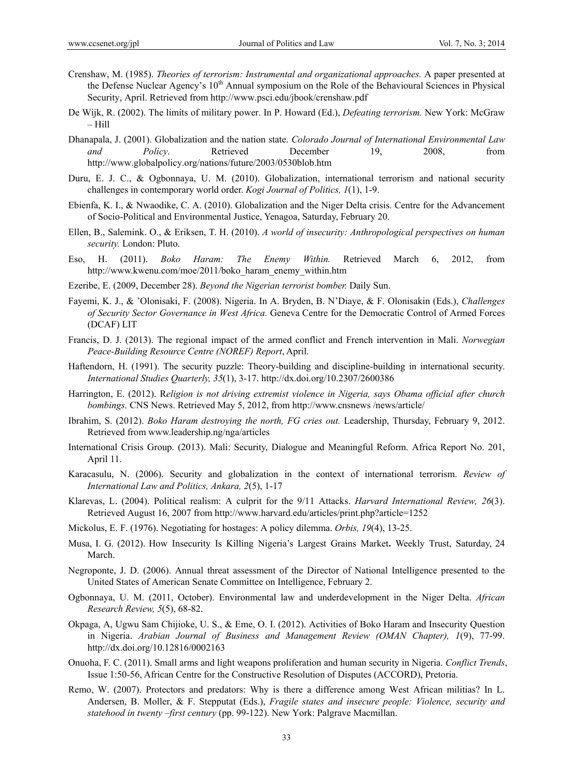- Crenshaw, M. (1985). *Theories of terrorism: Instrumental and organizational approaches.* A paper presented at the Defense Nuclear Agency's 10<sup>th</sup> Annual symposium on the Role of the Behavioural Sciences in Physical Security, April. Retrieved from http://www.psci.edu/jbook/crenshaw.pdf
- De Wijk, R. (2002). The limits of military power. In P. Howard (Ed.), *Defeating terrorism.* New York: McGraw – Hill
- Dhanapala, J. (2001). Globalization and the nation state. *Colorado Journal of International Environmental Law and Policy*. Retrieved December 19, 2008, from http://www.globalpolicy.org/nations/future/2003/0530blob.htm
- Duru, E. J. C., & Ogbonnaya, U. M. (2010). Globalization, international terrorism and national security challenges in contemporary world order. *Kogi Journal of Politics, 1*(1), 1-9.
- Ebienfa, K. I., & Nwaodike, C. A. (2010). Globalization and the Niger Delta crisis. Centre for the Advancement of Socio-Political and Environmental Justice, Yenagoa, Saturday, February 20.
- Ellen, B., Salemink. O., & Eriksen, T. H. (2010). *A world of insecurity: Anthropological perspectives on human security.* London: Pluto.
- Eso, H. (2011). *Boko Haram: The Enemy Within.* Retrieved March 6, 2012, from http://www.kwenu.com/moe/2011/boko\_haram\_enemy\_within.htm
- Ezeribe, E. (2009, December 28). *Beyond the Nigerian terrorist bomber.* Daily Sun.
- Fayemi, K. J., & 'Olonisaki, F. (2008). Nigeria. In A. Bryden, B. N'Diaye, & F. Olonisakin (Eds.), *Challenges of Security Sector Governance in West Africa.* Geneva Centre for the Democratic Control of Armed Forces (DCAF) LIT
- Francis, D. J. (2013). The regional impact of the armed conflict and French intervention in Mali. *Norwegian Peace-Building Resource Centre (NOREF) Report*, April.
- Haftendorn, H. (1991). The security puzzle: Theory-building and discipline-building in international security. *International Studies Quarterly, 35*(1), 3-17. http://dx.doi.org/10.2307/2600386
- Harrington, E. (2012). R*eligion is not driving extremist violence in Nigeria, says Obama official after church bombings.* CNS News. Retrieved May 5, 2012, from http://www.cnsnews /news/article/
- Ibrahim, S. (2012). *Boko Haram destroying the north, FG cries out.* Leadership, Thursday, February 9, 2012. Retrieved from www.leadership.ng/nga/articles
- International Crisis Group. (2013). Mali: Security, Dialogue and Meaningful Reform. Africa Report No. 201, April 11.
- Karacasulu, N. (2006). Security and globalization in the context of international terrorism. *Review of International Law and Politics, Ankara, 2*(5), 1-17
- Klarevas, L. (2004). Political realism: A culprit for the 9/11 Attacks. *Harvard International Review, 26*(3). Retrieved August 16, 2007 from http://www.harvard.edu/articles/print.php?article=1252
- Mickolus, E. F. (1976). Negotiating for hostages: A policy dilemma. *Orbis, 19*(4), 13-25.
- Musa, I. G. (2012). How Insecurity Is Killing Nigeria's Largest Grains Market**.** Weekly Trust, Saturday, 24 March.
- Negroponte, J. D. (2006). Annual threat assessment of the Director of National Intelligence presented to the United States of American Senate Committee on Intelligence, February 2.
- Ogbonnaya, U. M. (2011, October). Environmental law and underdevelopment in the Niger Delta. *African Research Review, 5*(5), 68-82.
- Okpaga, A, Ugwu Sam Chijioke, U. S., & Eme, O. I. (2012). Activities of Boko Haram and Insecurity Question in Nigeria. *Arabian Journal of Business and Management Review (OMAN Chapter), 1*(9), 77-99. http://dx.doi.org/10.12816/0002163
- Onuoha, F. C. (2011). Small arms and light weapons proliferation and human security in Nigeria. *Conflict Trends*, Issue 1:50-56, African Centre for the Constructive Resolution of Disputes (ACCORD), Pretoria.
- Remo, W. (2007). Protectors and predators: Why is there a difference among West African militias? In L. Andersen, B. Moller, & F. Stepputat (Eds.), *Fragile states and insecure people: Violence, security and statehood in twenty –first century* (pp. 99-122). New York: Palgrave Macmillan.